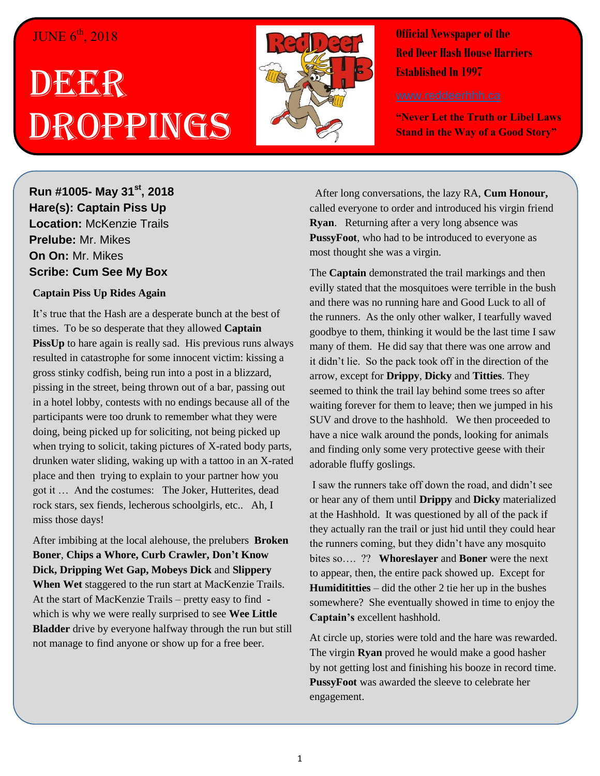## JUNE  $6^{\text{th}}$ , 2018

# DEERR Droppings



**Official Newspaper of the Red Deer Hash House Harriers Established In 1997** 

**"Never Let the Truth or Libel Laws Stand in the Way of a Good Story"**

## **Run #1005- May 31st, 2018 Hare(s): Captain Piss Up Location:** McKenzie Trails **Prelube:** Mr. Mikes **On On:** Mr. Mikes **Scribe: Cum See My Box**

#### **Captain Piss Up Rides Again**

It's true that the Hash are a desperate bunch at the best of times. To be so desperate that they allowed **Captain PissUp** to hare again is really sad. His previous runs always resulted in catastrophe for some innocent victim: kissing a gross stinky codfish, being run into a post in a blizzard, pissing in the street, being thrown out of a bar, passing out in a hotel lobby, contests with no endings because all of the participants were too drunk to remember what they were doing, being picked up for soliciting, not being picked up when trying to solicit, taking pictures of X-rated body parts, drunken water sliding, waking up with a tattoo in an X-rated place and then trying to explain to your partner how you got it … And the costumes: The Joker, Hutterites, dead rock stars, sex fiends, lecherous schoolgirls, etc.. Ah, I miss those days!

After imbibing at the local alehouse, the prelubers **Broken Boner**, **Chips a Whore, Curb Crawler, Don't Know Dick, Dripping Wet Gap, Mobeys Dick** and **Slippery When Wet** staggered to the run start at MacKenzie Trails. At the start of MacKenzie Trails – pretty easy to find which is why we were really surprised to see **Wee Little Bladder** drive by everyone halfway through the run but still not manage to find anyone or show up for a free beer.

 After long conversations, the lazy RA, **Cum Honour,**  called everyone to order and introduced his virgin friend **Ryan**. Returning after a very long absence was **PussyFoot**, who had to be introduced to everyone as most thought she was a virgin.

The **Captain** demonstrated the trail markings and then evilly stated that the mosquitoes were terrible in the bush and there was no running hare and Good Luck to all of the runners. As the only other walker, I tearfully waved goodbye to them, thinking it would be the last time I saw many of them. He did say that there was one arrow and it didn't lie. So the pack took off in the direction of the arrow, except for **Drippy**, **Dicky** and **Titties**. They seemed to think the trail lay behind some trees so after waiting forever for them to leave; then we jumped in his SUV and drove to the hashhold. We then proceeded to have a nice walk around the ponds, looking for animals and finding only some very protective geese with their adorable fluffy goslings.

I saw the runners take off down the road, and didn't see or hear any of them until **Drippy** and **Dicky** materialized at the Hashhold. It was questioned by all of the pack if they actually ran the trail or just hid until they could hear the runners coming, but they didn't have any mosquito bites so…. ?? **Whoreslayer** and **Boner** were the next to appear, then, the entire pack showed up. Except for **Humidititties** – did the other 2 tie her up in the bushes somewhere? She eventually showed in time to enjoy the **Captain's** excellent hashhold.

At circle up, stories were told and the hare was rewarded. The virgin **Ryan** proved he would make a good hasher by not getting lost and finishing his booze in record time. **PussyFoot** was awarded the sleeve to celebrate her engagement.